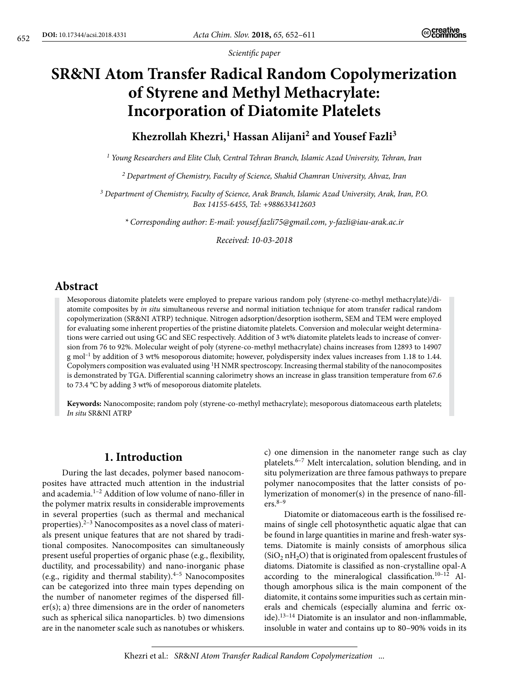*Scientific paper*

# **SR&NI Atom Transfer Radical Random Copolymerization of Styrene and Methyl Methacrylate: Incorporation of Diatomite Platelets**

## Khezrollah Khezri,<sup>1</sup> Hassan Alijani<sup>2</sup> and Yousef Fazli<sup>3</sup>

*1 Young Researchers and Elite Club, Central Tehran Branch, Islamic Azad University, Tehran, Iran*

*2 Department of Chemistry, Faculty of Science, Shahid Chamran University, Ahvaz, Iran*

*3 Department of Chemistry, Faculty of Science, Arak Branch, Islamic Azad University, Arak, Iran, P.O. Box 14155-6455, Tel: +988633412603*

*\* Corresponding author: E-mail: yousef.fazli75@gmail.com, y-fazli@iau-arak.ac.ir*

*Received: 10-03-2018*

## **Abstract**

Mesoporous diatomite platelets were employed to prepare various random poly (styrene-co-methyl methacrylate)/diatomite composites by *in situ* simultaneous reverse and normal initiation technique for atom transfer radical random copolymerization (SR&NI ATRP) technique. Nitrogen adsorption/desorption isotherm, SEM and TEM were employed for evaluating some inherent properties of the pristine diatomite platelets. Conversion and molecular weight determinations were carried out using GC and SEC respectively. Addition of 3 wt% diatomite platelets leads to increase of conversion from 76 to 92%. Molecular weight of poly (styrene-co-methyl methacrylate) chains increases from 12893 to 14907  $g$  mol<sup>-1</sup> by addition of 3 wt% mesoporous diatomite; however, polydispersity index values increases from 1.18 to 1.44. Copolymers composition was evaluated using 1H NMR spectroscopy. Increasing thermal stability of the nanocomposites is demonstrated by TGA. Differential scanning calorimetry shows an increase in glass transition temperature from 67.6 to 73.4 °C by adding 3 wt% of mesoporous diatomite platelets.

**Keywords:** Nanocomposite; random poly (styrene-co-methyl methacrylate); mesoporous diatomaceous earth platelets; *In situ* SR&NI ATRP

#### **1. Introduction**

During the last decades, polymer based nanocomposites have attracted much attention in the industrial and academia.1–2 Addition of low volume of nano-filler in the polymer matrix results in considerable improvements in several properties (such as thermal and mechanical properties). $2-3$  Nanocomposites as a novel class of materials present unique features that are not shared by traditional composites. Nanocomposites can simultaneously present useful properties of organic phase (e.g., flexibility, ductility, and processability) and nano-inorganic phase (e.g., rigidity and thermal stability). $4-5$  Nanocomposites can be categorized into three main types depending on the number of nanometer regimes of the dispersed filler(s); a) three dimensions are in the order of nanometers such as spherical silica nanoparticles. b) two dimensions are in the nanometer scale such as nanotubes or whiskers. c) one dimension in the nanometer range such as clay platelets.6–7 Melt intercalation, solution blending, and in situ polymerization are three famous pathways to prepare polymer nanocomposites that the latter consists of polymerization of monomer(s) in the presence of nano-fill $ers.^{8-9}$ 

Diatomite or diatomaceous earth is the fossilised remains of single cell photosynthetic aquatic algae that can be found in large quantities in marine and fresh-water systems. Diatomite is mainly consists of amorphous silica  $(SiO<sub>2</sub> nH<sub>2</sub>O)$  that is originated from opalescent frustules of diatoms. Diatomite is classified as non-crystalline opal-A according to the mineralogical classification. $10-12$  Although amorphous silica is the main component of the diatomite, it contains some impurities such as certain minerals and chemicals (especially alumina and ferric oxide).13–14 Diatomite is an insulator and non-inflammable, insoluble in water and contains up to 80–90% voids in its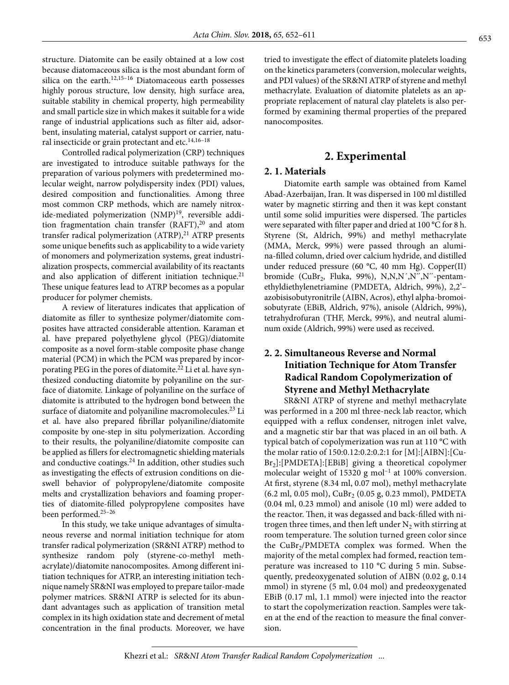structure. Diatomite can be easily obtained at a low cost because diatomaceous silica is the most abundant form of silica on the earth.<sup>12,15-16</sup> Diatomaceous earth possesses highly porous structure, low density, high surface area, suitable stability in chemical property, high permeability and small particle size in which makes it suitable for a wide range of industrial applications such as filter aid, adsorbent, insulating material, catalyst support or carrier, natural insecticide or grain protectant and etc.<sup>14,16-18</sup>

Controlled radical polymerization (CRP) techniques are investigated to introduce suitable pathways for the preparation of various polymers with predetermined molecular weight, narrow polydispersity index (PDI) values, desired composition and functionalities. Among three most common CRP methods, which are namely nitroxide-mediated polymerization (NMP)<sup>19</sup>, reversible addition fragmentation chain transfer  $(RAFT),<sup>20</sup>$  and atom transfer radical polymerization  $(ATRP)$ ,<sup>21</sup> ATRP presents some unique benefits such as applicability to a wide variety of monomers and polymerization systems, great industrialization prospects, commercial availability of its reactants and also application of different initiation technique.<sup>21</sup> These unique features lead to ATRP becomes as a popular producer for polymer chemists.

A review of literatures indicates that application of diatomite as filler to synthesize polymer/diatomite composites have attracted considerable attention. Karaman et al. have prepared polyethylene glycol (PEG)/diatomite composite as a novel form-stable composite phase change material (PCM) in which the PCM was prepared by incorporating PEG in the pores of diatomite.<sup>22</sup> Li et al. have synthesized conducting diatomite by polyaniline on the surface of diatomite. Linkage of polyaniline on the surface of diatomite is attributed to the hydrogen bond between the surface of diatomite and polyaniline macromolecules.<sup>23</sup> Li et al. have also prepared fibrillar polyaniline/diatomite composite by one-step in situ polymerization. According to their results, the polyaniline/diatomite composite can be applied as fillers for electromagnetic shielding materials and conductive coatings. $24$  In addition, other studies such as investigating the effects of extrusion conditions on dieswell behavior of polypropylene/diatomite composite melts and crystallization behaviors and foaming properties of diatomite-filled polypropylene composites have been performed.25–26

In this study, we take unique advantages of simultaneous reverse and normal initiation technique for atom transfer radical polymerization (SR&NI ATRP) method to synthesize random poly (styrene-co-methyl methacrylate)/diatomite nanocomposites. Among different initiation techniques for ATRP, an interesting initiation technique namely SR&NI was employed to prepare tailor-made polymer matrices. SR&NI ATRP is selected for its abundant advantages such as application of transition metal complex in its high oxidation state and decrement of metal concentration in the final products. Moreover, we have tried to investigate the effect of diatomite platelets loading on the kinetics parameters (conversion, molecular weights, and PDI values) of the SR&NI ATRP of styrene and methyl methacrylate. Evaluation of diatomite platelets as an appropriate replacement of natural clay platelets is also performed by examining thermal properties of the prepared nanocomposites.

#### **2. Experimental**

#### **2. 1. Materials**

Diatomite earth sample was obtained from Kamel Abad-Azerbaijan, Iran. It was dispersed in 100 ml distilled water by magnetic stirring and then it was kept constant until some solid impurities were dispersed. The particles were separated with filter paper and dried at 100 °C for 8 h. Styrene (St, Aldrich, 99%) and methyl methacrylate (MMA, Merck, 99%) were passed through an alumina-filled column, dried over calcium hydride, and distilled under reduced pressure (60 °C, 40 mm Hg). Copper(II) bromide (CuBr<sub>2</sub>, Fluka, 99%), N,N,N',N",N"-pentamethyldiethylenetriamine (PMDETA, Aldrich, 99%), 2,2'– azobisisobutyronitrile (AIBN, Acros), ethyl alpha-bromoisobutyrate (EBiB, Aldrich, 97%), anisole (Aldrich, 99%), tetrahydrofuran (THF, Merck, 99%), and neutral aluminum oxide (Aldrich, 99%) were used as received.

#### **2. 2. Simultaneous Reverse and Normal Initiation Technique for Atom Transfer Radical Random Copolymerization of Styrene and Methyl Methacrylate**

SR&NI ATRP of styrene and methyl methacrylate was performed in a 200 ml three-neck lab reactor, which equipped with a reflux condenser, nitrogen inlet valve, and a magnetic stir bar that was placed in an oil bath. A typical batch of copolymerization was run at 110 °C with the molar ratio of 150:0.12:0.2:0.2:1 for [M]:[AIBN]:[Cu- $Br<sub>2</sub>$ :[PMDETA]:[EBiB] giving a theoretical copolymer molecular weight of 15320 g mol<sup>-1</sup> at 100% conversion. At first, styrene (8.34 ml, 0.07 mol), methyl methacrylate  $(6.2 \text{ ml}, 0.05 \text{ mol})$ , CuBr<sub>2</sub>  $(0.05 \text{ g}, 0.23 \text{ mmol})$ , PMDETA (0.04 ml, 0.23 mmol) and anisole (10 ml) were added to the reactor. Then, it was degassed and back-filled with nitrogen three times, and then left under  $N_2$  with stirring at room temperature. The solution turned green color since the  $CuBr<sub>2</sub>/PMDETA$  complex was formed. When the majority of the metal complex had formed, reaction temperature was increased to 110 °C during 5 min. Subsequently, predeoxygenated solution of AIBN (0.02 g, 0.14 mmol) in styrene (5 ml, 0.04 mol) and predeoxygenated EBiB (0.17 ml, 1.1 mmol) were injected into the reactor to start the copolymerization reaction. Samples were taken at the end of the reaction to measure the final conversion.

Khezri et al.: *SR*&*NI Atom Transfer Radical Random Copolymerization* ...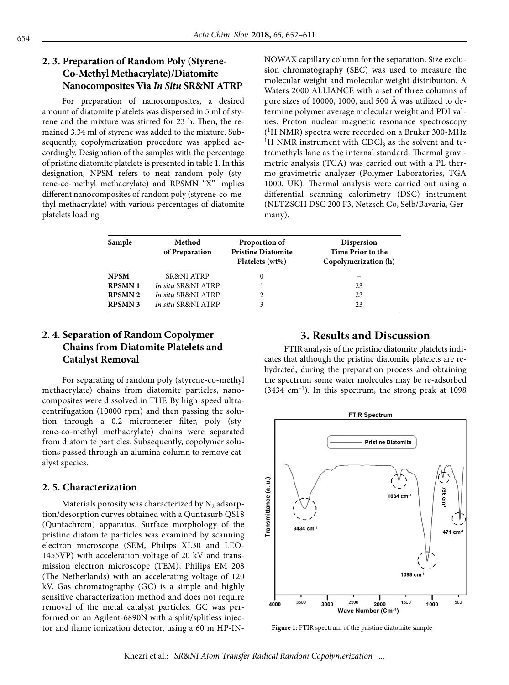## **2. 3. Preparation of Random Poly (Styrene-Co-Methyl Methacrylate)/Diatomite Nanocomposites Via** *In Situ* **SR&NI ATRP**

For preparation of nanocomposites, a desired amount of diatomite platelets was dispersed in 5 ml of styrene and the mixture was stirred for 23 h. Then, the remained 3.34 ml of styrene was added to the mixture. Subsequently, copolymerization procedure was applied accordingly. Designation of the samples with the percentage of pristine diatomite platelets is presented in table 1. In this designation, NPSM refers to neat random poly (styrene-co-methyl methacrylate) and RPSMN "X" implies different nanocomposites of random poly (styrene-co-methyl methacrylate) with various percentages of diatomite platelets loading.

NOWAX capillary column for the separation. Size exclusion chromatography (SEC) was used to measure the molecular weight and molecular weight distribution. A Waters 2000 ALLIANCE with a set of three columns of pore sizes of 10000, 1000, and 500 Å was utilized to determine polymer average molecular weight and PDI values. Proton nuclear magnetic resonance spectroscopy (1H NMR) spectra were recorded on a Bruker 300-MHz <sup>1</sup>H NMR instrument with CDCl<sub>3</sub> as the solvent and tetramethylsilane as the internal standard. Thermal gravimetric analysis (TGA) was carried out with a PL thermo-gravimetric analyzer (Polymer Laboratories, TGA 1000, UK). Thermal analysis were carried out using a differential scanning calorimetry (DSC) instrument (NETZSCH DSC 200 F3, Netzsch Co, Selb/Bavaria, Germany).

| Sample         | Method<br>of Preparation | Proportion of<br><b>Pristine Diatomite</b><br>Platelets (wt%) | <b>Dispersion</b><br>Time Prior to the<br>Copolymerization (h) |
|----------------|--------------------------|---------------------------------------------------------------|----------------------------------------------------------------|
| <b>NPSM</b>    | <b>SR&amp;NI ATRP</b>    | $_{0}$                                                        |                                                                |
| <b>RPSMN1</b>  | In situ SR&NI ATRP       |                                                               | 23                                                             |
| <b>RPSMN 2</b> | In situ SR&NI ATRP       |                                                               | 23                                                             |
| <b>RPSMN 3</b> | In situ SR&NI ATRP       |                                                               | 23                                                             |

## **2. 4. Separation of Random Copolymer Chains from Diatomite Platelets and Catalyst Removal**

For separating of random poly (styrene-co-methyl methacrylate) chains from diatomite particles, nanocomposites were dissolved in THF. By high-speed ultracentrifugation (10000 rpm) and then passing the solution through a 0.2 micrometer filter, poly (styrene-co-methyl methacrylate) chains were separated from diatomite particles. Subsequently, copolymer solutions passed through an alumina column to remove catalyst species.

#### **2. 5. Characterization**

Materials porosity was characterized by  $N_2$  adsorption/desorption curves obtained with a Quntasurb QS18 (Quntachrom) apparatus. Surface morphology of the pristine diatomite particles was examined by scanning electron microscope (SEM, Philips XL30 and LEO-1455VP) with acceleration voltage of 20 kV and transmission electron microscope (TEM), Philips EM 208 (The Netherlands) with an accelerating voltage of 120 kV. Gas chromatography (GC) is a simple and highly sensitive characterization method and does not require removal of the metal catalyst particles. GC was performed on an Agilent-6890N with a split/splitless injector and flame ionization detector, using a 60 m HP-IN-

## **3. Results and Discussion**

FTIR analysis of the pristine diatomite platelets indicates that although the pristine diatomite platelets are rehydrated, during the preparation process and obtaining the spectrum some water molecules may be re-adsorbed  $(3434 \text{ cm}^{-1})$ . In this spectrum, the strong peak at 1098



**Figure 1**: FTIR spectrum of the pristine diatomite sample

Khezri et al.: *SR*&*NI Atom Transfer Radical Random Copolymerization* ...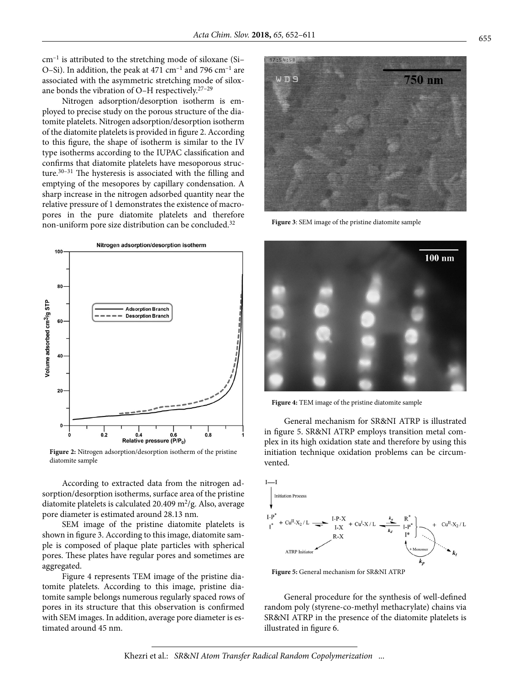$cm^{-1}$  is attributed to the stretching mode of siloxane (Si-O–Si). In addition, the peak at  $471 \text{ cm}^{-1}$  and  $796 \text{ cm}^{-1}$  are associated with the asymmetric stretching mode of siloxane bonds the vibration of O-H respectively.<sup>27-29</sup>

Nitrogen adsorption/desorption isotherm is employed to precise study on the porous structure of the diatomite platelets. Nitrogen adsorption/desorption isotherm of the diatomite platelets is provided in figure 2. According to this figure, the shape of isotherm is similar to the IV type isotherms according to the IUPAC classification and confirms that diatomite platelets have mesoporous structure. $30-31$  The hysteresis is associated with the filling and emptying of the mesopores by capillary condensation. A sharp increase in the nitrogen adsorbed quantity near the relative pressure of 1 demonstrates the existence of macropores in the pure diatomite platelets and therefore non-uniform pore size distribution can be concluded.<sup>32</sup>



**Figure 2:** Nitrogen adsorption/desorption isotherm of the pristine diatomite sample

According to extracted data from the nitrogen adsorption/desorption isotherms, surface area of the pristine diatomite platelets is calculated 20.409 m<sup>2</sup>/g. Also, average pore diameter is estimated around 28.13 nm.

SEM image of the pristine diatomite platelets is shown in figure 3. According to this image, diatomite sample is composed of plaque plate particles with spherical pores. These plates have regular pores and sometimes are aggregated.

Figure 4 represents TEM image of the pristine diatomite platelets. According to this image, pristine diatomite sample belongs numerous regularly spaced rows of pores in its structure that this observation is confirmed with SEM images. In addition, average pore diameter is estimated around 45 nm.



**Figure 3**: SEM image of the pristine diatomite sample



**Figure 4:** TEM image of the pristine diatomite sample

General mechanism for SR&NI ATRP is illustrated in figure 5. SR&NI ATRP employs transition metal complex in its high oxidation state and therefore by using this initiation technique oxidation problems can be circumvented.



**Figure 5:** General mechanism for SR&NI ATRP

General procedure for the synthesis of well-defined random poly (styrene-co-methyl methacrylate) chains via SR&NI ATRP in the presence of the diatomite platelets is illustrated in figure 6.

Khezri et al.: *SR*&*NI Atom Transfer Radical Random Copolymerization* ...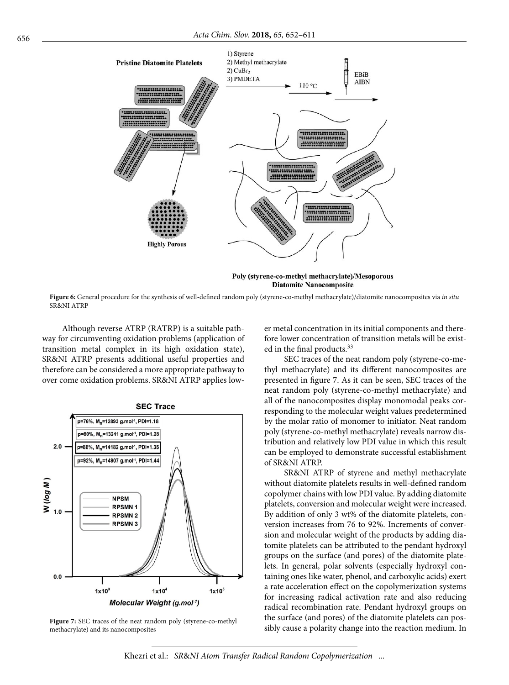

**Diatomite Nanocomposite** 

**Figure 6:** General procedure for the synthesis of well-defined random poly (styrene-co-methyl methacrylate)/diatomite nanocomposites via *in situ* SR&NI ATRP

Although reverse ATRP (RATRP) is a suitable pathway for circumventing oxidation problems (application of transition metal complex in its high oxidation state), SR&NI ATRP presents additional useful properties and therefore can be considered a more appropriate pathway to over come oxidation problems. SR&NI ATRP applies low-



**Figure 7:** SEC traces of the neat random poly (styrene-co-methyl methacrylate) and its nanocomposites

er metal concentration in its initial components and therefore lower concentration of transition metals will be existed in the final products.<sup>33</sup>

SEC traces of the neat random poly (styrene-co-methyl methacrylate) and its different nanocomposites are presented in figure 7. As it can be seen, SEC traces of the neat random poly (styrene-co-methyl methacrylate) and all of the nanocomposites display monomodal peaks corresponding to the molecular weight values predetermined by the molar ratio of monomer to initiator. Neat random poly (styrene-co-methyl methacrylate) reveals narrow distribution and relatively low PDI value in which this result can be employed to demonstrate successful establishment of SR&NI ATRP.

SR&NI ATRP of styrene and methyl methacrylate without diatomite platelets results in well-defined random copolymer chains with low PDI value. By adding diatomite platelets, conversion and molecular weight were increased. By addition of only 3 wt% of the diatomite platelets, conversion increases from 76 to 92%. Increments of conversion and molecular weight of the products by adding diatomite platelets can be attributed to the pendant hydroxyl groups on the surface (and pores) of the diatomite platelets. In general, polar solvents (especially hydroxyl containing ones like water, phenol, and carboxylic acids) exert a rate acceleration effect on the copolymerization systems for increasing radical activation rate and also reducing radical recombination rate. Pendant hydroxyl groups on the surface (and pores) of the diatomite platelets can possibly cause a polarity change into the reaction medium. In

Khezri et al.: *SR*&*NI Atom Transfer Radical Random Copolymerization* ...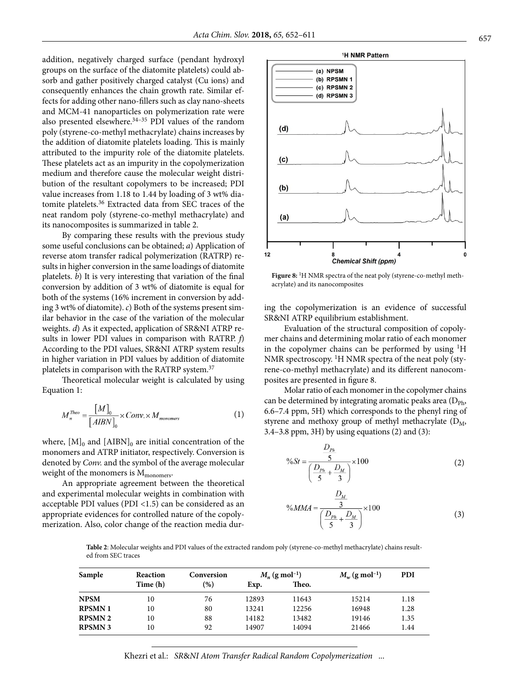addition, negatively charged surface (pendant hydroxyl groups on the surface of the diatomite platelets) could absorb and gather positively charged catalyst (Cu ions) and consequently enhances the chain growth rate. Similar effects for adding other nano-fillers such as clay nano-sheets and MCM-41 nanoparticles on polymerization rate were also presented elsewhere. $34-35$  PDI values of the random poly (styrene-co-methyl methacrylate) chains increases by the addition of diatomite platelets loading. This is mainly attributed to the impurity role of the diatomite platelets. These platelets act as an impurity in the copolymerization medium and therefore cause the molecular weight distribution of the resultant copolymers to be increased; PDI value increases from 1.18 to 1.44 by loading of 3 wt% diatomite platelets.36 Extracted data from SEC traces of the neat random poly (styrene-co-methyl methacrylate) and its nanocomposites is summarized in table 2.

By comparing these results with the previous study some useful conclusions can be obtained; *a*) Application of reverse atom transfer radical polymerization (RATRP) results in higher conversion in the same loadings of diatomite platelets. *b*) It is very interesting that variation of the final conversion by addition of 3 wt% of diatomite is equal for both of the systems (16% increment in conversion by adding 3 wt% of diatomite). *c*) Both of the systems present similar behavior in the case of the variation of the molecular weights. *d*) As it expected, application of SR&NI ATRP results in lower PDI values in comparison with RATRP. *f*) According to the PDI values, SR&NI ATRP system results in higher variation in PDI values by addition of diatomite platelets in comparison with the RATRP system.37

Theoretical molecular weight is calculated by using Equation 1:

$$
M_n^{Theo} = \frac{[M]_0}{[ABN]_0} \times Conv \times M_{monomers}
$$
 (1)

where,  $[M]_0$  and  $[AIBN]_0$  are initial concentration of the monomers and ATRP initiator, respectively. Conversion is denoted by *Conv.* and the symbol of the average molecular weight of the monomers is  $M_{\rm monomers}$ .

An appropriate agreement between the theoretical and experimental molecular weights in combination with acceptable PDI values (PDI <1.5) can be considered as an appropriate evidences for controlled nature of the copolymerization. Also, color change of the reaction media dur-



Figure 8: <sup>1</sup>H NMR spectra of the neat poly (styrene-co-methyl methacrylate) and its nanocomposites

ing the copolymerization is an evidence of successful SR&NI ATRP equilibrium establishment.

Evaluation of the structural composition of copolymer chains and determining molar ratio of each monomer in the copolymer chains can be performed by using  ${}^{1}H$ NMR spectroscopy. <sup>1</sup>H NMR spectra of the neat poly (styrene-co-methyl methacrylate) and its different nanocomposites are presented in figure 8.

Molar ratio of each monomer in the copolymer chains can be determined by integrating aromatic peaks area  $(D_{\text{Ph}},$ 6.6–7.4 ppm, 5H) which corresponds to the phenyl ring of styrene and methoxy group of methyl methacrylate  $(D_M,$ 3.4–3.8 ppm, 3H) by using equations (2) and (3):

$$
\%St = \frac{\frac{D_{p_h}}{5}}{\left(\frac{D_{p_h}}{5} + \frac{D_M}{3}\right)} \times 100
$$
 (2)  

$$
\%MMA = \frac{\frac{D_M}{3}}{\left(\frac{D_{p_h}}{5} + \frac{D_M}{3}\right)} \times 100
$$
 (3)

**Table 2**: Molecular weights and PDI values of the extracted random poly (styrene-co-methyl methacrylate) chains resulted from SEC traces

| Sample        | <b>Reaction</b> | Conversion | $M_n$ (g mol <sup>-1</sup> ) |       | $M_w$ (g mol <sup>-1</sup> ) | <b>PDI</b> |
|---------------|-----------------|------------|------------------------------|-------|------------------------------|------------|
|               | Time (h)        | (%)        | Exp.                         | Theo. |                              |            |
| <b>NPSM</b>   | 10              | 76         | 12893                        | 11643 | 15214                        | 1.18       |
| <b>RPSMN1</b> | 10              | 80         | 13241                        | 12256 | 16948                        | 1.28       |
| <b>RPSMN2</b> | 10              | 88         | 14182                        | 13482 | 19146                        | 1.35       |
| <b>RPSMN3</b> | 10              | 92         | 14907                        | 14094 | 21466                        | 1.44       |

Khezri et al.: *SR*&*NI Atom Transfer Radical Random Copolymerization* ...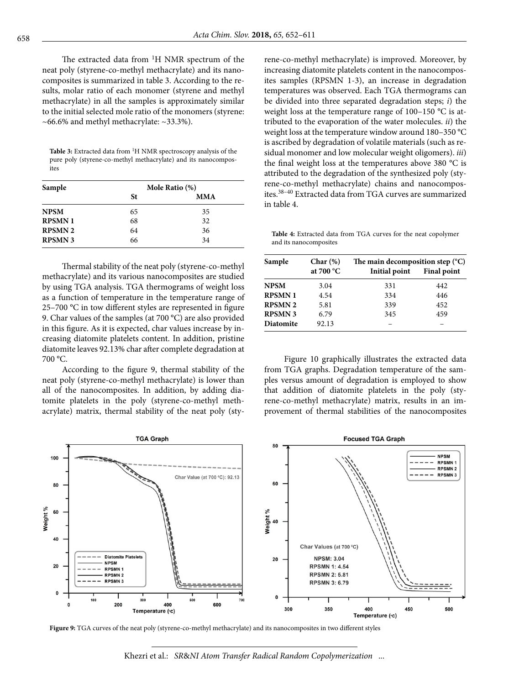The extracted data from 1H NMR spectrum of the neat poly (styrene-co-methyl methacrylate) and its nanocomposites is summarized in table 3. According to the results, molar ratio of each monomer (styrene and methyl methacrylate) in all the samples is approximately similar to the initial selected mole ratio of the monomers (styrene:  $~10-66.6\%$  and methyl methacrylate:  $~133.3\%$ ).

Table 3: Extracted data from <sup>1</sup>H NMR spectroscopy analysis of the pure poly (styrene-co-methyl methacrylate) and its nanocomposites

| Sample         | Mole Ratio (%) |            |  |
|----------------|----------------|------------|--|
|                | St             | <b>MMA</b> |  |
| <b>NPSM</b>    | 65             | 35         |  |
| <b>RPSMN1</b>  | 68             | 32         |  |
| <b>RPSMN 2</b> | 64             | 36         |  |
| <b>RPSMN 3</b> | 66             | 34         |  |

Thermal stability of the neat poly (styrene-co-methyl methacrylate) and its various nanocomposites are studied by using TGA analysis. TGA thermograms of weight loss as a function of temperature in the temperature range of 25–700 °C in tow different styles are represented in figure 9. Char values of the samples (at 700 °C) are also provided in this figure. As it is expected, char values increase by increasing diatomite platelets content. In addition, pristine diatomite leaves 92.13% char after complete degradation at 700 °C.

According to the figure 9, thermal stability of the neat poly (styrene-co-methyl methacrylate) is lower than all of the nanocomposites. In addition, by adding diatomite platelets in the poly (styrene-co-methyl methacrylate) matrix, thermal stability of the neat poly (styrene-co-methyl methacrylate) is improved. Moreover, by increasing diatomite platelets content in the nanocomposites samples (RPSMN 1-3), an increase in degradation temperatures was observed. Each TGA thermograms can be divided into three separated degradation steps; *i*) the weight loss at the temperature range of 100–150 °C is attributed to the evaporation of the water molecules. *ii*) the weight loss at the temperature window around 180–350 °C is ascribed by degradation of volatile materials (such as residual monomer and low molecular weight oligomers). *iii*) the final weight loss at the temperatures above 380 °C is attributed to the degradation of the synthesized poly (styrene-co-methyl methacrylate) chains and nanocomposites.38–40 Extracted data from TGA curves are summarized in table 4.

**Table 4:** Extracted data from TGA curves for the neat copolymer and its nanocomposites

| Sample           | Char(%)            | The main decomposition step $(^{\circ}C)$ |                    |  |
|------------------|--------------------|-------------------------------------------|--------------------|--|
|                  | at $700^{\circ}$ C | Initial point                             | <b>Final point</b> |  |
| <b>NPSM</b>      | 3.04               | 331                                       | 442                |  |
| <b>RPSMN1</b>    | 4.54               | 334                                       | 446                |  |
| <b>RPSMN2</b>    | 5.81               | 339                                       | 452                |  |
| <b>RPSMN3</b>    | 6.79               | 345                                       | 459                |  |
| <b>Diatomite</b> | 92.13              |                                           |                    |  |

Figure 10 graphically illustrates the extracted data from TGA graphs. Degradation temperature of the samples versus amount of degradation is employed to show that addition of diatomite platelets in the poly (styrene-co-methyl methacrylate) matrix, results in an improvement of thermal stabilities of the nanocomposites



**Figure 9:** TGA curves of the neat poly (styrene-co-methyl methacrylate) and its nanocomposites in two different styles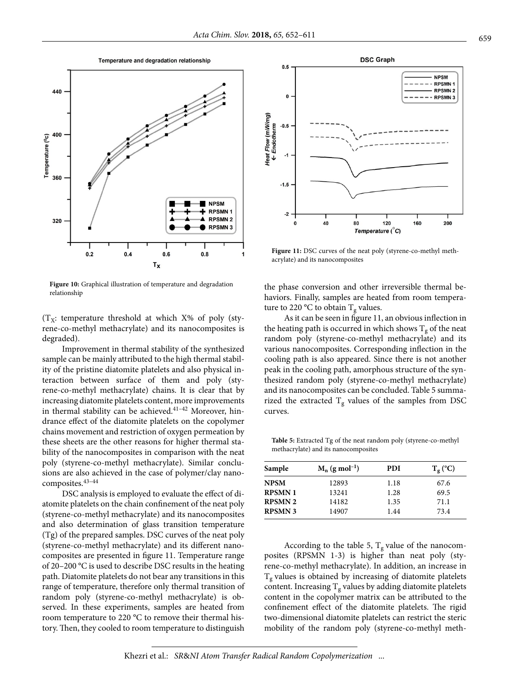



**DSC Graph**  $0.5$ **NPSM RPSMN1 RPSMN 2**  $\overline{0}$  $---$  RPSMN 3 Heat Flow (mW/mg)<br>← Endotherm  $-0.5$  $-1.5$  $\overline{2}$ 40 80 120 160 200  $\mathbf{r}$ Temperature (°C)

Figure 11: DSC curves of the neat poly (styrene-co-methyl methacrylate) and its nanocomposites

Figure 10: Graphical illustration of temperature and degradation relationship

 $(T_X:$  temperature threshold at which X% of poly (styrene-co-methyl methacrylate) and its nanocomposites is degraded).

Improvement in thermal stability of the synthesized sample can be mainly attributed to the high thermal stability of the pristine diatomite platelets and also physical interaction between surface of them and poly (styrene-co-methyl methacrylate) chains. It is clear that by increasing diatomite platelets content, more improvements in thermal stability can be achieved.<sup>41-42</sup> Moreover, hindrance effect of the diatomite platelets on the copolymer chains movement and restriction of oxygen permeation by these sheets are the other reasons for higher thermal stability of the nanocomposites in comparison with the neat poly (styrene-co-methyl methacrylate). Similar conclusions are also achieved in the case of polymer/clay nanocomposites.43–44

DSC analysis is employed to evaluate the effect of diatomite platelets on the chain confinement of the neat poly (styrene-co-methyl methacrylate) and its nanocomposites and also determination of glass transition temperature (Tg) of the prepared samples. DSC curves of the neat poly (styrene-co-methyl methacrylate) and its different nanocomposites are presented in figure 11. Temperature range of 20–200 °C is used to describe DSC results in the heating path. Diatomite platelets do not bear any transitions in this range of temperature, therefore only thermal transition of random poly (styrene-co-methyl methacrylate) is observed. In these experiments, samples are heated from room temperature to 220 °C to remove their thermal history. Then, they cooled to room temperature to distinguish

the phase conversion and other irreversible thermal behaviors. Finally, samples are heated from room temperature to 220 °C to obtain  $T_g$  values.

As it can be seen in figure 11, an obvious inflection in the heating path is occurred in which shows  $T_g$  of the neat random poly (styrene-co-methyl methacrylate) and its various nanocomposites. Corresponding inflection in the cooling path is also appeared. Since there is not another peak in the cooling path, amorphous structure of the synthesized random poly (styrene-co-methyl methacrylate) and its nanocomposites can be concluded. Table 5 summarized the extracted  $T_g$  values of the samples from DSC curves.

**Table 5:** Extracted Tg of the neat random poly (styrene-co-methyl methacrylate) and its nanocomposites

| Sample        | $M_n$ (g mol <sup>-1</sup> ) | <b>PDI</b> | $T_{g}$ (°C) |
|---------------|------------------------------|------------|--------------|
| <b>NPSM</b>   | 12893                        | 1.18       | 67.6         |
| <b>RPSMN1</b> | 13241                        | 1.28       | 69.5         |
| <b>RPSMN2</b> | 14182                        | 1.35       | 71.1         |
| <b>RPSMN3</b> | 14907                        | 1.44       | 73.4         |

According to the table 5,  $T_g$  value of the nanocomposites (RPSMN 1-3) is higher than neat poly (styrene-co-methyl methacrylate). In addition, an increase in  $T<sub>g</sub>$  values is obtained by increasing of diatomite platelets content. Increasing  $T_g$  values by adding diatomite platelets content in the copolymer matrix can be attributed to the confinement effect of the diatomite platelets. The rigid two-dimensional diatomite platelets can restrict the steric mobility of the random poly (styrene-co-methyl meth-

Khezri et al.: *SR*&*NI Atom Transfer Radical Random Copolymerization* ...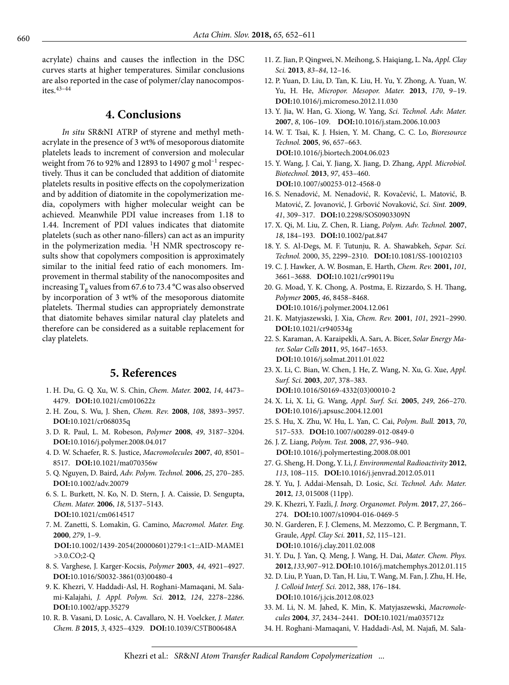acrylate) chains and causes the inflection in the DSC curves starts at higher temperatures. Similar conclusions are also reported in the case of polymer/clay nanocomposites.43–44

#### **4. Conclusions**

*In situ* SR&NI ATRP of styrene and methyl methacrylate in the presence of 3 wt% of mesoporous diatomite platelets leads to increment of conversion and molecular weight from 76 to 92% and 12893 to 14907 g mol<sup>-1</sup> respectively. Thus it can be concluded that addition of diatomite platelets results in positive effects on the copolymerization and by addition of diatomite in the copolymerization media, copolymers with higher molecular weight can be achieved. Meanwhile PDI value increases from 1.18 to 1.44. Increment of PDI values indicates that diatomite platelets (such as other nano-fillers) can act as an impurity in the polymerization media.  ${}^{1}$ H NMR spectroscopy results show that copolymers composition is approximately similar to the initial feed ratio of each monomers. Improvement in thermal stability of the nanocomposites and increasing  $T_g$  values from 67.6 to 73.4 °C was also observed by incorporation of 3 wt% of the mesoporous diatomite platelets. Thermal studies can appropriately demonstrate that diatomite behaves similar natural clay platelets and therefore can be considered as a suitable replacement for clay platelets.

#### **5. References**

- 1. H. Du, G. Q. Xu, W. S. Chin, *Chem. Mater.* **2002**, *14*, 4473– 4479. **DOI:**[10.1021/cm010622z](https://doi.org/10.1021/cm010622z)
- 2. H. Zou, S. Wu, J. Shen, *Chem. Rev.* **2008**, *108*, 3893–3957. **DOI:**[10.1021/cr068035q](https://doi.org/10.1021/cr068035q)
- 3. D. R. Paul, L. M. Robeson, *Polymer* **2008**, *49*, 3187–3204. **DOI:**[10.1016/j.polymer.2008.04.017](https://doi.org/10.1016/j.polymer.2008.04.017)
- 4. D. W. Schaefer, R. S. Justice, *Macromolecules* **2007**, *40*, 8501– 8517. **DOI:**[10.1021/ma070356w](https://doi.org/10.1021/ma070356w)
- 5. Q. Nguyen, D. Baird, *Adv. Polym. Technol.* **2006**, *25*, 270–285. **DOI:**[10.1002/adv.20079](https://doi.org/10.1002/adv.20079)
- 6. S. L. Burkett, N. Ko, N. D. Stern, J. A. Caissie, D. Sengupta, *Chem. Mater.* **2006**, *18*, 5137–5143. **DOI:**[10.1021/cm0614517](https://doi.org/10.1021/cm0614517)
- 7. M. Zanetti, S. Lomakin, G. Camino, *Macromol. Mater. Eng.* **2000**, *279*, 1–9. **DOI:**[10.1002/1439-2054\(20000601\)279:1<1::AID-MAME1](https://doi.org/10.1002/1439-2054(20000601)279:1%3C1::AID-MAME1%3E3.0.CO;2-Q)
- 8. S. Varghese, J. Karger-Kocsis, *Polymer* **2003**, *44*, 4921–4927. **DOI:**[10.1016/S0032-3861\(03\)00480-4](https://doi.org/10.1016/S0032-3861(03)00480-4)

[>3.0.CO;2-Q](https://doi.org/10.1002/1439-2054(20000601)279:1%3C1::AID-MAME1%3E3.0.CO;2-Q)

- 9. K. Khezri, V. Haddadi-Asl, H. Roghani-Mamaqani, M. Salami-Kalajahi, *J. Appl. Polym. Sci.* **2012**, *124*, 2278–2286. **DOI:**[10.1002/app.35279](https://doi.org/10.1002/app.35279)
- 10. R. B. Vasani, D. Losic, A. Cavallaro, N. H. Voelcker, *J. Mater. Chem. B* **2015**, *3*, 4325–4329. **DOI:**[10.1039/C5TB00648A](https://doi.org/10.1039/C5TB00648A)
- 11. Z. Jian, P. Qingwei, N. Meihong, S. Haiqiang, L. Na, *Appl. Clay Sci.* **2013**, *83–84*, 12–16.
- 12. P. Yuan, D. Liu, D. Tan, K. Liu, H. Yu, Y. Zhong, A. Yuan, W. Yu, H. He, *Micropor. Mesopor. Mater.* **2013**, *170*, 9–19. **DOI:**[10.1016/j.micromeso.2012.11.030](https://doi.org/10.1016/j.micromeso.2012.11.030)
- 13. Y. Jia, W. Han, G. Xiong, W. Yang, *Sci. Technol. Adv. Mater.* **2007**, *8*, 106–109. **DOI:**[10.1016/j.stam.2006.10.003](https://doi.org/10.1016/j.stam.2006.10.003)
- 14. W. T. Tsai, K. J. Hsien, Y. M. Chang, C. C. Lo, *Bioresource Technol.* **2005**, *96*, 657–663. **DOI:**[10.1016/j.biortech.2004.06.023](https://doi.org/10.1016/j.biortech.2004.06.023)
- 15. Y. Wang, J. Cai, Y. Jiang, X. Jiang, D. Zhang, *Appl. Microbiol. Biotechnol.* **2013**, *97*, 453–460. **DOI:**[10.1007/s00253-012-4568-0](https://doi.org/10.1007/s00253-012-4568-0)
- 16. S. Nenadović, M. Nenadović, R. Kovačević, L. Matović, B. Matović, Z. Jovanović, J. Grbović Novaković, *Sci. Sint.* **2009**, *41*, 309–317. **DOI:**[10.2298/SOS0903309N](https://doi.org/10.2298/SOS0903309N)
- 17. X. Qi, M. Liu, Z. Chen, R. Liang, *Polym. Adv. Technol.* **2007**, *18*, 184–193. **DOI:**[10.1002/pat.847](https://doi.org/10.1002/pat.847)
- 18. Y. S. Al-Degs, M. F. Tutunju, R. A. Shawabkeh, *Separ. Sci. Technol.* 2000, 35, 2299–2310. **DOI:**[10.1081/SS-100102103](https://doi.org/10.1081/SS-100102103)
- 19. C. J. Hawker, A. W. Bosman, E. Harth, *Chem. Rev.* **2001,** *101,*  3661–3688. **DOI:**[10.1021/cr990119u](https://doi.org/10.1021/cr990119u)
- 20. G. Moad, Y. K. Chong, A. Postma, E. Rizzardo, S. H. Thang, *Polymer* **2005**, *46*, 8458–8468. **DOI:**[10.1016/j.polymer.2004.12.061](https://doi.org/10.1016/j.polymer.2004.12.061)
- 21. K. Matyjaszewski, J. Xia, *Chem. Rev.* **2001**, *101*, 2921–2990. **DOI:**[10.1021/cr940534g](https://doi.org/10.1021/cr940534g)
- 22. S. Karaman, A. Karaipekli, A. Sarı, A. Bicer, *Solar Energy Mater. Solar Cells* **2011**, *95*, 1647–1653. **DOI:**[10.1016/j.solmat.2011.01.022](https://doi.org/10.1016/j.solmat.2011.01.022)
- 23. X. Li, C. Bian, W. Chen, J. He, Z. Wang, N. Xu, G. Xue, *Appl. Surf. Sci.* **2003**, *207*, 378–383. **DOI:**[10.1016/S0169-4332\(03\)00010-2](https://doi.org/10.1016/S0169-4332(03)00010-2)
- 24. X. Li, X. Li, G. Wang, *Appl. Surf. Sci.* **2005**, *249*, 266–270. **DOI:**[10.1016/j.apsusc.2004.12.001](https://doi.org/10.1016/j.apsusc.2004.12.001)
- 25. S. Hu, X. Zhu, W. Hu, L. Yan, C. Cai, *Polym. Bull.* **2013**, *70*, 517–533. **DOI:**[10.1007/s00289-012-0849-0](https://doi.org/10.1007/s00289-012-0849-0)
- 26. J. Z. Liang, *Polym. Test.* **2008**, *27*, 936–940. **DOI:**[10.1016/j.polymertesting.2008.08.001](https://doi.org/10.1016/j.polymertesting.2008.08.001)
- 27. G. Sheng, H. Dong, Y. Li, *J. Environmental Radioactivity* **2012**, *113*, 108–115. **DOI:**[10.1016/j.jenvrad.2012.05.011](https://doi.org/10.1016/j.jenvrad.2012.05.011)
- 28. Y. Yu, J. Addai-Mensah, D. Losic, *Sci. Technol. Adv. Mater.* **2012**, *13*, 015008 (11pp).
- 29. K. Khezri, Y. Fazli, *J. Inorg. Organomet. Polym.* **2017**, *27*, 266– 274. **DOI:**[10.1007/s10904-016-0469-5](https://doi.org/10.1007/s10904-016-0469-5)
- 30. N. Garderen, F. J. Clemens, M. Mezzomo, C. P. Bergmann, T. Graule, *Appl. Clay Sci.* **2011**, *52*, 115–121. **DOI:**[10.1016/j.clay.2011.02.008](https://doi.org/10.1016/j.clay.2011.02.008)
- 31. Y. Du, J. Yan, Q. Meng, J. Wang, H. Dai, *Mater. Chem. Phys.* **2012**, *133*, 907–912. **DOI:**[10.1016/j.matchemphys.2012.01.115](https://doi.org/10.1016/j.matchemphys.2012.01.115)
- 32. D. Liu, P. Yuan, D. Tan, H. Liu, T. Wang, M. Fan, J. Zhu, H. He, *J. Colloid Interf. Sci.* 2012, 388, 176–184. **DOI:**[10.1016/j.jcis.2012.08.023](https://doi.org/10.1016/j.jcis.2012.08.023)
- 33. M. Li, N. M. Jahed, K. Min, K. Matyjaszewski, *Macromolecules* **2004**, *37*, 2434–2441. **DOI:**[10.1021/ma035712z](https://doi.org/10.1021/ma035712z)
- 34. H. Roghani-Mamaqani, V. Haddadi-Asl, M. Najafi, M. Sala-